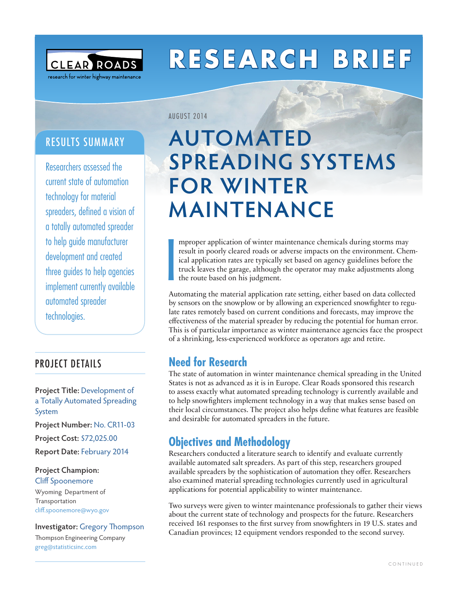

# **RESEARCH BRIEF**

## RESULTS SUMMARY

Researchers assessed the current state of automation technology for material spreaders, defined a vision of a totally automated spreader to help guide manufacturer development and created three guides to help agencies implement currently available automated spreader technologies.

#### PROJECT DETAILS

**Project Title:** Development of a Totally Automated Spreading System **Project Number:** No. CR11-03

**Project Cost:** \$72,025.00

**Report Date:** February 2014

#### **Project Champion:**  Cliff Spoonemore

Wyoming Department of Transportation [cliff.spoonemore@wyo.gov](mailto:cliff.spoonemore@wyo.gov)

#### **Investigator:** Gregory Thompson

Thompson Engineering Company [greg@statisticsinc.com](mailto:greg@statisticsinc.com)

## **AUTOMATED SPREADING SYSTEMS FOR WINTER MAINTENANCE**

**I** mproper application of winter maintenance chemicals during storms may result in poorly cleared roads or adverse impacts on the environment. Chemical application rates are typically set based on agency guidelines before the truck leaves the garage, although the operator may make adjustments along the route based on his judgment.

Automating the material application rate setting, either based on data collected by sensors on the snowplow or by allowing an experienced snowfighter to regulate rates remotely based on current conditions and forecasts, may improve the effectiveness of the material spreader by reducing the potential for human error. This is of particular importance as winter maintenance agencies face the prospect of a shrinking, less-experienced workforce as operators age and retire.

### **Need for Research**

AUGUST 2014

The state of automation in winter maintenance chemical spreading in the United States is not as advanced as it is in Europe. Clear Roads sponsored this research to assess exactly what automated spreading technology is currently available and to help snowfighters implement technology in a way that makes sense based on their local circumstances. The project also helps define what features are feasible and desirable for automated spreaders in the future.

### **Objectives and Methodology**

Researchers conducted a literature search to identify and evaluate currently available automated salt spreaders. As part of this step, researchers grouped available spreaders by the sophistication of automation they offer. Researchers also examined material spreading technologies currently used in agricultural applications for potential applicability to winter maintenance.

Two surveys were given to winter maintenance professionals to gather their views about the current state of technology and prospects for the future. Researchers received 161 responses to the first survey from snowfighters in 19 U.S. states and Canadian provinces; 12 equipment vendors responded to the second survey.